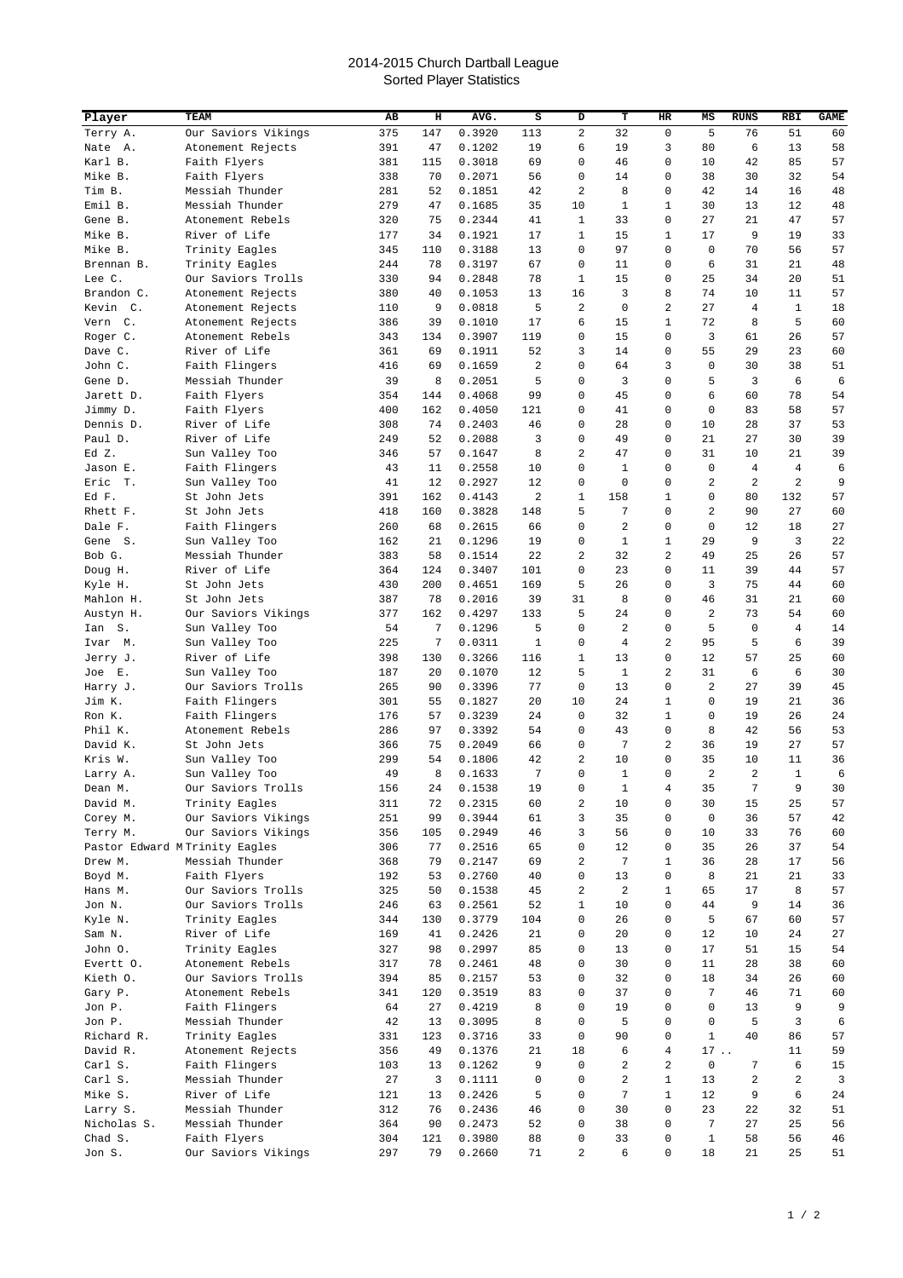## 2014-2015 Church Dartball League Sorted Player Statistics

| Player                 | TEAM                               | AВ         | н         | AVG.             | s        | D            | т              | HR                | МS             | <b>RUNS</b>    | RBI            | <b>GAME</b> |
|------------------------|------------------------------------|------------|-----------|------------------|----------|--------------|----------------|-------------------|----------------|----------------|----------------|-------------|
| Terry A.               | Our Saviors Vikings                | 375        | 147       | 0.3920           | 113      | 2            | 32             | 0                 | 5              | 76             | 51             | 60          |
| Nate A.                | Atonement Rejects                  | 391        | 47        | 0.1202           | 19       | 6            | 19             | 3                 | 80             | 6              | 13             | 58          |
| Karl B.                | Faith Flyers                       | 381        | 115       | 0.3018           | 69       | 0            | 46             | 0                 | 10             | 42             | 85             | 57          |
| Mike B.                | Faith Flyers                       | 338        | 70        | 0.2071           | 56       | 0            | 14             | 0                 | 38             | 30             | 32             | 54          |
| Tim B.                 | Messiah Thunder                    | 281        | 52        | 0.1851           | 42       | 2            | 8              | 0                 | 42             | 14             | 16             | 48          |
| Emil B.                | Messiah Thunder                    | 279        | 47        | 0.1685           | 35       | 10           | 1              | 1                 | 30             | 13             | 12             | 48          |
| Gene B.                | Atonement Rebels                   | 320        | 75        | 0.2344           | 41       | $\mathbf{1}$ | 33             | 0                 | 27             | 21             | 47             | 57          |
| Mike B.                | River of Life                      | 177        | 34        | 0.1921           | 17       | 1            | 15             | 1                 | 17             | 9              | 19             | 33          |
| Mike B.                | Trinity Eagles                     | 345        | 110       | 0.3188           | 13       | 0            | 97             | 0                 | $\mathbf 0$    | 70             | 56             | 57          |
| Brennan B.             | Trinity Eagles                     | 244        | 78        | 0.3197           | 67       | 0            | 11             | 0                 | 6              | 31             | 21             | 48          |
| Lee C.                 | Our Saviors Trolls                 | 330        | 94        | 0.2848           | 78       | $\mathbf{1}$ | 15             | 0                 | 25             | 34             | 20             | 51          |
| Brandon C.             | Atonement Rejects                  | 380        | 40        | 0.1053           | 13       | 16           | 3              | 8                 | 74             | 10             | 11             | 57          |
| Kevin C.               | Atonement Rejects                  | 110        | 9         | 0.0818           | 5        | 2            | 0              | 2                 | 27             | 4              | 1              | 18          |
| $\mathsf{C}$ .<br>Vern | Atonement Rejects                  | 386        | 39        | 0.1010           | 17       | 6            | 15             | 1                 | 72             | 8              | 5              | 60          |
| Roger C.               | Atonement Rebels                   | 343        | 134       | 0.3907           | 119      | 0            | 15             | 0                 | 3              | 61             | 26             | 57          |
| Dave C.                | River of Life                      | 361        | 69        | 0.1911           | 52       | 3            | 14             | 0                 | 55             | 29             | 23             | 60          |
| John C.                | Faith Flingers                     | 416        | 69        | 0.1659           | 2        | 0            | 64             | 3                 | $\mathbf 0$    | 30             | 38             | 51          |
| Gene D.                | Messiah Thunder                    | 39         | 8         | 0.2051           | 5        | 0            | 3              | 0                 | 5              | 3              | 6              | 6           |
| Jarett D.              | Faith Flyers                       | 354        | 144       | 0.4068           | 99       | 0            | 45             | 0                 | 6              | 60             | 78             | 54          |
| Jimmy D.               | Faith Flyers                       | 400        | 162<br>74 | 0.4050           | 121      | 0            | 41             | 0<br>0            | 0<br>10        | 83             | 58             | 57          |
| Dennis D.<br>Paul D.   | River of Life<br>River of Life     | 308<br>249 | 52        | 0.2403           | 46<br>3  | 0<br>0       | 28<br>49       | 0                 | 21             | 28<br>27       | 37<br>30       | 53<br>39    |
| Ed Z.                  | Sun Valley Too                     | 346        | 57        | 0.2088<br>0.1647 | 8        | 2            | 47             | 0                 | 31             | 10             | 21             | 39          |
| Jason E.               | Faith Flingers                     | 43         | 11        | 0.2558           | 10       | 0            | 1              | 0                 | $\mathbf 0$    | 4              | 4              | 6           |
| Τ.<br>Eric             | Sun Valley Too                     | 41         | 12        | 0.2927           | 12       | 0            | 0              | 0                 | $\overline{2}$ | 2              | 2              | 9           |
| Ed F.                  | St John Jets                       | 391        | 162       | 0.4143           | 2        | $\mathbf{1}$ | 158            | 1                 | 0              | 80             | 132            | 57          |
| Rhett F.               | St John Jets                       | 418        | 160       | 0.3828           | 148      | 5            | 7              | 0                 | $\overline{2}$ | 90             | 27             | 60          |
| Dale F.                | Faith Flingers                     | 260        | 68        | 0.2615           | 66       | 0            | 2              | 0                 | 0              | 12             | 18             | 27          |
| Gene<br>S.             | Sun Valley Too                     | 162        | 21        | 0.1296           | 19       | 0            | 1              | 1                 | 29             | 9              | 3              | 22          |
| Bob G.                 | Messiah Thunder                    | 383        | 58        | 0.1514           | 22       | 2            | 32             | 2                 | 49             | 25             | 26             | 57          |
| Doug H.                | River of Life                      | 364        | 124       | 0.3407           | 101      | $\mathsf 0$  | 23             | 0                 | 11             | 39             | 44             | 57          |
| Kyle H.                | St John Jets                       | 430        | 200       | 0.4651           | 169      | 5            | 26             | 0                 | 3              | 75             | 44             | 60          |
| Mahlon H.              | St John Jets                       | 387        | 78        | 0.2016           | 39       | 31           | 8              | 0                 | 46             | 31             | 21             | 60          |
| Austyn H.              | Our Saviors Vikings                | 377        | 162       | 0.4297           | 133      | 5            | 24             | 0                 | $\overline{a}$ | 73             | 54             | 60          |
| Ian S.                 | Sun Valley Too                     | 54         | 7         | 0.1296           | 5        | 0            | 2              | 0                 | 5              | 0              | 4              | 14          |
| Μ.<br>Ivar             | Sun Valley Too                     | 225        | 7         | 0.0311           | $1\,$    | 0            | 4              | 2                 | 95             | 5              | 6              | 39          |
| Jerry J.               | River of Life                      | 398        | 130       | 0.3266           | 116      | 1            | 13             | 0                 | 12             | 57             | 25             | 60          |
| Е.<br>Joe              | Sun Valley Too                     | 187        | 20        | 0.1070           | 12       | 5            | 1              | 2                 | 31             | 6              | 6              | 30          |
| Harry J.               | Our Saviors Trolls                 | 265        | 90        | 0.3396           | 77       | 0            | 13             | 0                 | $\overline{2}$ | 27             | 39             | 45          |
| Jim K.                 | Faith Flingers                     | 301        | 55        | 0.1827           | 20       | 10           | 24             | $\mathbf{1}$      | 0              | 19             | 21             | 36          |
| Ron K.                 | Faith Flingers                     | 176        | 57        | 0.3239           | 24       | 0            | 32             | $\mathbf{1}$      | $\mathbf 0$    | 19             | 26             | 24          |
| Phil K.                | Atonement Rebels                   | 286        | 97        | 0.3392           | 54       | $\mathbf 0$  | 43             | 0                 | 8              | 42             | 56             | 53          |
| David K.               | St John Jets                       | 366        | 75        | 0.2049           | 66       | 0            | 7              | 2                 | 36             | 19             | 27             | 57          |
| Kris W.                | Sun Valley Too                     | 299        | 54        | 0.1806           | 42       | 2            | 10             | 0                 | 35             | 10             | 11             | 36          |
| Larry A.               | Sun Valley Too                     | 49         | 8         | 0.1633           | 7        | 0            | 1              | 0                 | $\overline{2}$ | $\overline{c}$ | $\mathbf{1}$   | 6           |
| Dean M.                | Our Saviors Trolls                 | 156        | 24        | 0.1538           | 19       | 0            | $\mathbf{1}$   | 4                 | 35             | 7              | $\overline{9}$ | 30          |
| David M.               | Trinity Eagles                     | 311        | 72        | 0.2315           | 60       | 2            | 10             | 0                 | 30             | 15             | 25             | 57          |
| Corey M.               | Our Saviors Vikings                | 251        | 99        | 0.3944           | 61       | 3            | 35             | 0                 | $\mathbf 0$    | 36             | 57             | 42          |
| Terry M.               | Our Saviors Vikings                | 356        | 105       | 0.2949           | 46       | 3            | 56             | 0                 | 10             | 33             | 76             | 60          |
|                        | Pastor Edward MTrinity Eagles      | 306        | 77        | 0.2516           | 65       | 0<br>2       | 12<br>7        | 0<br>$\mathbf{1}$ | 35             | 26             | 37             | 54          |
| Drew M.                | Messiah Thunder                    | 368        | 79        | 0.2147           | 69       | 0            | 13             | 0                 | 36<br>8        | 28<br>21       | 17<br>21       | 56          |
| Boyd M.<br>Hans M.     | Faith Flyers<br>Our Saviors Trolls | 192<br>325 | 53<br>50  | 0.2760<br>0.1538 | 40<br>45 | 2            | 2              | $\mathbf{1}$      | 65             | 17             | 8              | 33<br>57    |
| Jon N.                 | Our Saviors Trolls                 | 246        | 63        | 0.2561           | 52       | $\mathbf{1}$ | 10             | 0                 | 44             | 9              | 14             | 36          |
| Kyle N.                | Trinity Eagles                     | 344        | 130       | 0.3779           | 104      | 0            | 26             | 0                 | 5              | 67             | 60             | 57          |
| Sam N.                 | River of Life                      | 169        | 41        | 0.2426           | 21       | 0            | 20             | 0                 | 12             | 10             | 24             | 27          |
| John O.                | Trinity Eagles                     | 327        | 98        | 0.2997           | 85       | 0            | 13             | 0                 | 17             | 51             | 15             | 54          |
| Evertt O.              | Atonement Rebels                   | 317        | 78        | 0.2461           | 48       | 0            | 30             | 0                 | 11             | 28             | 38             | 60          |
| Kieth O.               | Our Saviors Trolls                 | 394        | 85        | 0.2157           | 53       | 0            | 32             | 0                 | 18             | 34             | 26             | 60          |
| Gary P.                | Atonement Rebels                   | 341        | 120       | 0.3519           | 83       | 0            | 37             | 0                 | 7              | 46             | 71             | 60          |
| Jon P.                 | Faith Flingers                     | 64         | 27        | 0.4219           | 8        | 0            | 19             | 0                 | $\mathbf 0$    | 13             | 9              | 9           |
| Jon P.                 | Messiah Thunder                    | 42         | 13        | 0.3095           | 8        | 0            | 5              | 0                 | $\mathbf 0$    | 5              | 3              | 6           |
| Richard R.             | Trinity Eagles                     | 331        | 123       | 0.3716           | 33       | 0            | 90             | 0                 | $\mathbf{1}$   | 40             | 86             | 57          |
| David R.               | Atonement Rejects                  | 356        | 49        | 0.1376           | 21       | 18           | 6              | 4                 | $17$ .         |                | 11             | 59          |
| Carl S.                | Faith Flingers                     | 103        | 13        | 0.1262           | 9        | 0            | 2              | 2                 | $\mathbb O$    | 7              | 6              | 15          |
| Carl S.                | Messiah Thunder                    | 27         | 3         | 0.1111           | 0        | 0            | $\overline{c}$ | 1                 | 13             | $\overline{a}$ | 2              | 3           |
| Mike S.                | River of Life                      | 121        | 13        | 0.2426           | 5        | 0            | 7              | 1                 | 12             | 9              | 6              | 24          |
| Larry S.               | Messiah Thunder                    | 312        | 76        | 0.2436           | 46       | 0            | 30             | 0                 | 23             | 22             | 32             | 51          |
| Nicholas S.            | Messiah Thunder                    | 364        | 90        | 0.2473           | 52       | 0            | 38             | 0                 | 7              | 27             | 25             | 56          |
| Chad S.                | Faith Flyers                       | 304        | 121       | 0.3980           | 88       | 0            | 33             | 0                 | $\mathbf{1}$   | 58             | 56             | 46          |
| Jon S.                 | Our Saviors Vikings                | 297        | 79        | 0.2660           | 71       | 2            | 6              | 0                 | 18             | 21             | 25             | 51          |